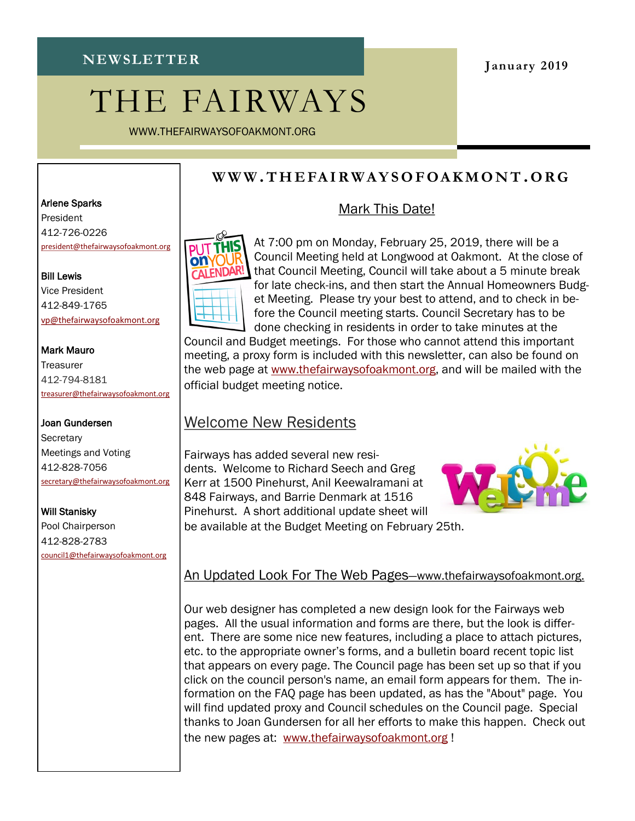# THE FAIRWAYS

WWW.THEFAIRWAYSOFOAKMONT.ORG

#### **January 2019**

## **W W W .T H E FA I R W A Y S O F OA K M O N T .O R G**

### Mark This Date!



At 7:00 pm on Monday, February 25, 2019, there will be a Council Meeting held at Longwood at Oakmont. At the close of that Council Meeting, Council will take about a 5 minute break for late check-ins, and then start the Annual Homeowners Budget Meeting. Please try your best to attend, and to check in before the Council meeting starts. Council Secretary has to be done checking in residents in order to take minutes at the

Council and Budget meetings. For those who cannot attend this important meeting, a proxy form is included with this newsletter, can also be found on the web page at [www.thefairwaysofoakmont.org,](http://www.thefairwaysofoakmont.org) and will be mailed with the official budget meeting notice.

## Welcome New Residents

Fairways has added several new residents. Welcome to Richard Seech and Greg Kerr at 1500 Pinehurst, Anil Keewalramani at 848 Fairways, and Barrie Denmark at 1516 Pinehurst. A short additional update sheet will be available at the Budget Meeting on February 25th.



## An Updated Look For The Web Pages—www.thefairwaysofoakmont.org.

Our web designer has completed a new design look for the Fairways web pages. All the usual information and forms are there, but the look is different. There are some nice new features, including a place to attach pictures, etc. to the appropriate owner's forms, and a bulletin board recent topic list that appears on every page. The Council page has been set up so that if you click on the council person's name, an email form appears for them. The information on the FAQ page has been updated, as has the "About" page. You will find updated proxy and Council schedules on the Council page. Special thanks to Joan Gundersen for all her efforts to make this happen. Check out the new pages at: [www.thefairwaysofoakmont.org](http://www.thefairwaysofoakmont.org) !

#### Arlene Sparks

President 412-726-0226 [president@thefairwaysofoakmont.org](mailto:president@thefairwaysofoakmont.org)

Bill Lewis Vice President 412-849-1765 [vp@thefairwaysofoakmont.org](mailto:vp@thefairwaysofoakmont.org)

#### Mark Mauro

**Treasurer** 412-794-8181 [treasurer@thefairwaysofoakmont.org](mailto:treasurer@thefairwaysofoakmont.org)

#### Joan Gundersen

**Secretary** Meetings and Voting 412-828-7056 [secretary@thefairwaysofoakmont.org](mailto:secretary@thefairwaysofoakmont.org)

#### Will Stanisky

Pool Chairperson 412-828-2783 [council1@thefairwaysofoakmont.org](mailto:council1@thefairwaysofoakmont.org)